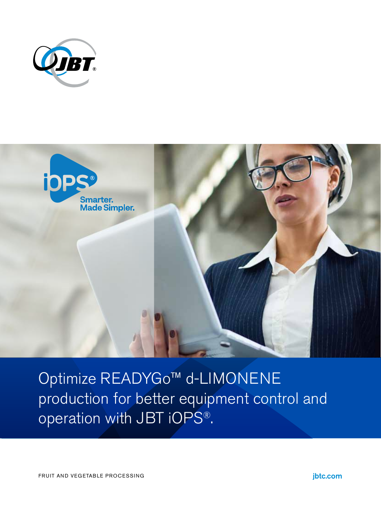



Optimize READYGo™ d-LIMONENE production for better equipment control and operation with JBT iOPS®.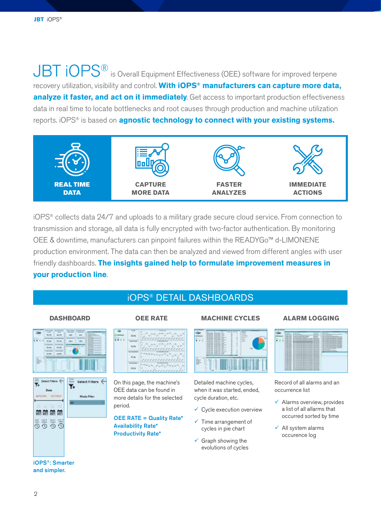JBT  $i$ OPS<sup>®</sup> is Overall Equipment Effectiveness (OEE) software for improved terpene recovery utilization, visibility and control. **With iOPS® manufacturers can capture more data, analyze it faster, and act on it immediately**. Get access to important production effectiveness data in real time to locate bottlenecks and root causes through production and machine utilization reports. iOPS® is based on **agnostic technology to connect with your existing systems.**



iOPS® collects data 24/7 and uploads to a military grade secure cloud service. From connection to transmission and storage, all data is fully encrypted with two-factor authentication. By monitoring OEE & downtime, manufacturers can pinpoint failures within the READYGo™ d-LIMONENE production environment. The data can then be analyzed and viewed from different angles with user friendly dashboards. **The insights gained help to formulate improvement measures in your production line**.

# iOPS® DETAIL DASHBOARDS





iOPS®: Smarter and simpler.



On this page, the machine's OEE data can be found in more detalis for the selected period.

OEE RATE = Quality Rate\* Availability Rate\* Productivity Rate\*

## **DASHBOARD OEE RATE MACHINE CYCLES**

## **ALARM LOGGING**



Detailed machine cycles, when it was started, ended, cycle duration, etc.

- $\checkmark$  Cycle execution overview
- $\checkmark$  Time arrangement of cycles in pie chart
- $\checkmark$  Graph showing the evolutions of cycles



Record of all alarms and an occurrence list

- $\checkmark$  Alarms overview, provides a list of all allarms that occurred sorted by time
- $\checkmark$  All system alarms occurence log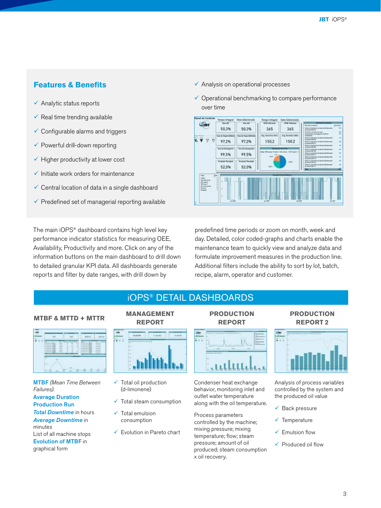# **Features & Benefits**

- $\checkmark$  Analytic status reports
- $\checkmark$  Real time trending available
- $\checkmark$  Configurable alarms and triggers
- $\checkmark$  Powerful drill-down reporting
- $\checkmark$  Higher productivity at lower cost
- $\checkmark$  Initiate work orders for maintenance
- Central location of data in a single dashboard
- $\checkmark$  Predefined set of managerial reporting available

The main iOPS® dashboard contains high level key performance indicator statistics for measuring OEE, Availability, Productivity and more. Click on any of the information buttons on the main dashboard to drill down to detailed granular KPI data. All dashboards generate reports and filter by date ranges, with drill down by

- $\checkmark$  Analysis on operational processes
- $\checkmark$  Operational benchmarking to compare performance over time



predefined time periods or zoom on month, week and day. Detailed, color coded-graphs and charts enable the maintenance team to quickly view and analyze data and formulate improvement measures in the production line. Additional filters include the ability to sort by lot, batch, recipe, alarm, operator and customer.

# iOPS® DETAIL DASHBOARDS

## **MTBF & MTTD + MTTR**



MTBF *(Mean Time Between Failures).* Average Duration Production Run *Total Downtime* in hours *Average Downtime* in minutes List of all machine stops Evolution of MTBF in graphical form

# **MANAGEMENT**

# **REPORT**



- $\checkmark$  Total oil production (d-limonene)
- $\checkmark$  Total steam consumption
- $\checkmark$  Total emulsion consumption
- $\checkmark$  Evolution in Pareto chart

# **PRODUCTION REPORT**



Condenser heat exchange behavior, monitoring inlet and outlet water temperature along with the oil temperature.

Process parameters controlled by the machine; mixing pressure; mixing temperature; flow; steam pressure; amount of oil produced; steam consumption x oil recovery.

## **PRODUCTION REPORT 2**



Analysis of process variables controlled by the system and the produced oil value

- $\sqrt{\phantom{a}}$  Back pressure
- $\checkmark$  Temperature
- $\checkmark$  Emulsion flow
- $\checkmark$  Produced oil flow